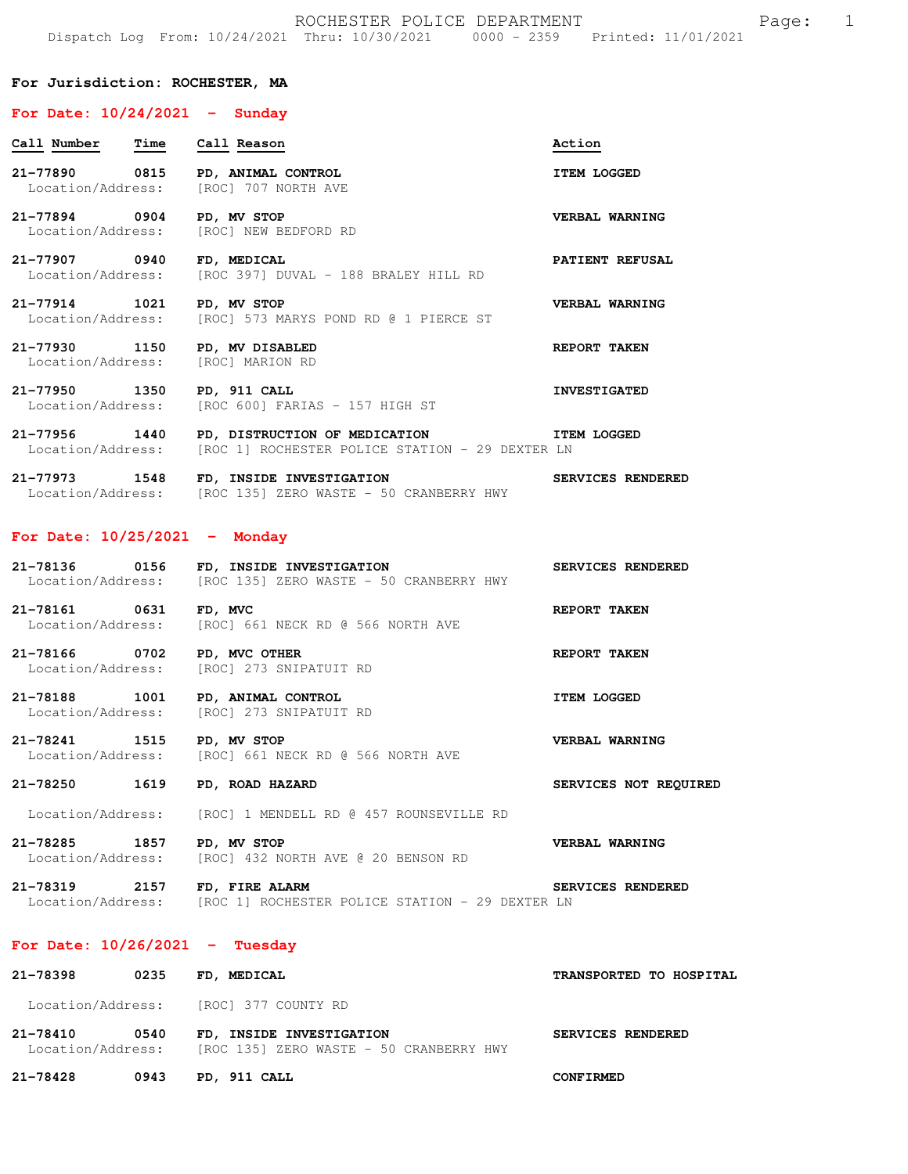### **For Jurisdiction: ROCHESTER, MA**

#### **For Date: 10/24/2021 - Sunday**

| Call Number Time Call Reason                                              |                                                                                                                              | Action              |
|---------------------------------------------------------------------------|------------------------------------------------------------------------------------------------------------------------------|---------------------|
| 21-77890 0815 PD, ANIMAL CONTROL<br>Location/Address: [ROC] 707 NORTH AVE |                                                                                                                              | <b>ITEM LOGGED</b>  |
| 21-77894 0904 PD, MV STOP<br>Location/Address: [ROC] NEW BEDFORD RD       |                                                                                                                              | VERBAL WARNING      |
| 21-77907 0940 FD, MEDICAL                                                 | Location/Address: [ROC 397] DUVAL - 188 BRALEY HILL RD                                                                       | PATIENT REFUSAL     |
| 21-77914 1021 PD, MV STOP                                                 | Location/Address: [ROC] 573 MARYS POND RD @ 1 PIERCE ST                                                                      | VERBAL WARNING      |
| 21-77930 1150 PD, MV DISABLED<br>Location/Address: [ROC] MARION RD        |                                                                                                                              | REPORT TAKEN        |
| 21-77950 1350 PD, 911 CALL                                                | Location/Address: [ROC 600] FARIAS - 157 HIGH ST                                                                             | <b>INVESTIGATED</b> |
|                                                                           | 21-77956 1440 PD, DISTRUCTION OF MEDICATION TTEM LOGGED<br>Location/Address: [ROC 1] ROCHESTER POLICE STATION - 29 DEXTER LN |                     |
| 21-77973 1548                                                             | FD, INSIDE INVESTIGATION                                                                                                     | SERVICES RENDERED   |

# **For Date: 10/25/2021 - Monday**

| 21-78136          | 0156 | FD, INSIDE INVESTIGATION |  |  |                                         | SERVICES RENDERED |  |
|-------------------|------|--------------------------|--|--|-----------------------------------------|-------------------|--|
| Location/Address: |      |                          |  |  | [ROC 135] ZERO WASTE - 50 CRANBERRY HWY |                   |  |

**21-78161 0631 FD, MVC REPORT TAKEN**  Location/Address: [ROC] 661 NECK RD @ 566 NORTH AVE

**21-78166 0702 PD, MVC OTHER REPORT TAKEN**  Location/Address: [ROC] 273 SNIPATUIT RD

**21-78188 1001 PD, ANIMAL CONTROL ITEM LOGGED**  Location/Address: [ROC] 273 SNIPATUIT RD

**21-78241 1515 PD, MV STOP VERBAL WARNING**  Location/Address: [ROC] 661 NECK RD @ 566 NORTH AVE

Location/Address: [ROC 135] ZERO WASTE - 50 CRANBERRY HWY

**21-78250 1619 PD, ROAD HAZARD SERVICES NOT REQUIRED** 

Location/Address: [ROC] 1 MENDELL RD @ 457 ROUNSEVILLE RD

**21-78285 1857 PD, MV STOP VERBAL WARNING**  Location/Address: [ROC] 432 NORTH AVE @ 20 BENSON RD

**21-78319 2157 FD, FIRE ALARM SERVICES RENDERED**  Location/Address: [ROC 1] ROCHESTER POLICE STATION - 29 DEXTER LN

### **For Date: 10/26/2021 - Tuesday**

| 21-78398                      | 0235 | FD, MEDICAL                                                         |                   | TRANSPORTED TO HOSPITAL |
|-------------------------------|------|---------------------------------------------------------------------|-------------------|-------------------------|
| Location/Address:             |      | [ROC] 377 COUNTY RD                                                 |                   |                         |
| 21-78410<br>Location/Address: | 0540 | FD. INSIDE INVESTIGATION<br>[ROC 135] ZERO WASTE - 50 CRANBERRY HWY | SERVICES RENDERED |                         |

**21-78428 0943 PD, 911 CALL CONFIRMED**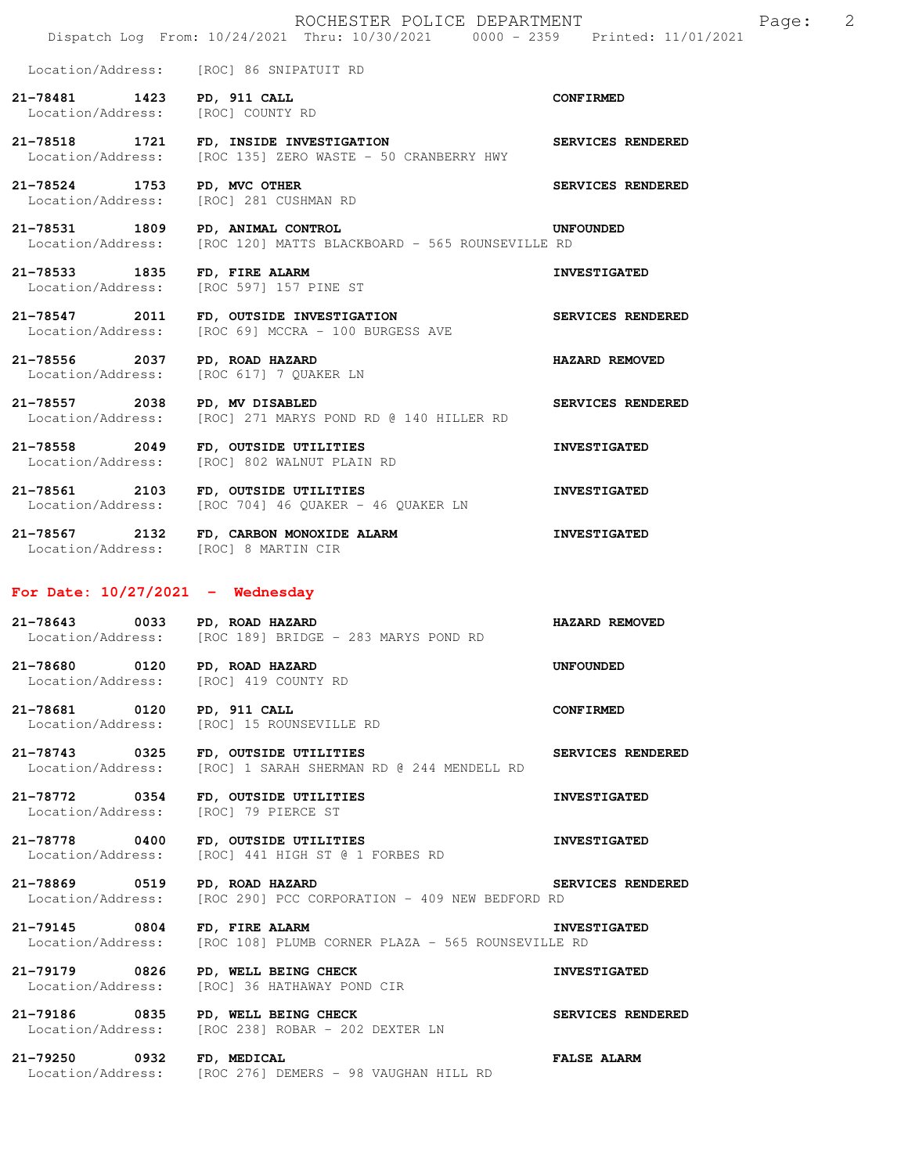Location/Address: [ROC] 86 SNIPATUIT RD

**21-78481 1423 PD, 911 CALL CONFIRMED**  Location/Address: [ROC] COUNTY RD

**21-78518 1721 FD, INSIDE INVESTIGATION SERVICES RENDERED**  Location/Address: [ROC 135] ZERO WASTE - 50 CRANBERRY HWY

**21-78524 1753 PD, MVC OTHER SERVICES RENDERED**  Location/Address: [ROC] 281 CUSHMAN RD

**21-78531 1809 PD, ANIMAL CONTROL UNFOUNDED**  Location/Address: [ROC 120] MATTS BLACKBOARD - 565 ROUNSEVILLE RD

**21-78533 1835 FD, FIRE ALARM INVESTIGATED**  Location/Address: [ROC 597] 157 PINE ST

**21-78547 2011 FD, OUTSIDE INVESTIGATION SERVICES RENDERED**  Location/Address: [ROC 69] MCCRA - 100 BURGESS AVE

**21-78556 2037 PD, ROAD HAZARD HAZARD REMOVED**  Location/Address: [ROC 617] 7 QUAKER LN

**21-78557 2038 PD, MV DISABLED SERVICES RENDERED**  Location/Address: [ROC] 271 MARYS POND RD @ 140 HILLER RD

**21-78558 2049 FD, OUTSIDE UTILITIES INVESTIGATED**  Location/Address: [ROC] 802 WALNUT PLAIN RD

**21-78561 2103 FD, OUTSIDE UTILITIES INVESTIGATED**  Location/Address: [ROC 704] 46 QUAKER - 46 QUAKER LN

**21-78567 2132 FD, CARBON MONOXIDE ALARM INVESTIGATED**  Location/Address: [ROC] 8 MARTIN CIR

## **For Date: 10/27/2021 - Wednesday**

**21-78643 0033 PD, ROAD HAZARD HAZARD REMOVED**  Location/Address: [ROC 189] BRIDGE - 283 MARYS POND RD

**21-78680 0120 PD, ROAD HAZARD UNFOUNDED**  Location/Address: [ROC] 419 COUNTY RD

**21-78681 0120 PD, 911 CALL CONFIRMED**<br>
Location/Address: [ROC] 15 ROUNSEVILLE RD [ROC] 15 ROUNSEVILLE RD

**21-78743 0325 FD, OUTSIDE UTILITIES SERVICES RENDERED**  Location/Address: [ROC] 1 SARAH SHERMAN RD @ 244 MENDELL RD

**21-78772 0354 FD, OUTSIDE UTILITIES INVESTIGATED**  Location/Address: [ROC] 79 PIERCE ST

**21-78778 0400 FD, OUTSIDE UTILITIES INVESTIGATED**  Location/Address: [ROC] 441 HIGH ST @ 1 FORBES RD

**21-78869 0519 PD, ROAD HAZARD SERVICES RENDERED**  Location/Address: [ROC 290] PCC CORPORATION - 409 NEW BEDFORD RD

**21-79145 0804 FD, FIRE ALARM INVESTIGATED**  Location/Address: [ROC 108] PLUMB CORNER PLAZA - 565 ROUNSEVILLE RD

**21-79179 0826 PD, WELL BEING CHECK INVESTIGATED**  Location/Address: [ROC] 36 HATHAWAY POND CIR

**21-79186 0835 PD, WELL BEING CHECK SERVICES RENDERED**  Location/Address: [ROC 238] ROBAR - 202 DEXTER LN

**21-79250 0932 FD, MEDICAL FALSE ALARM**  Location/Address: [ROC 276] DEMERS - 98 VAUGHAN HILL RD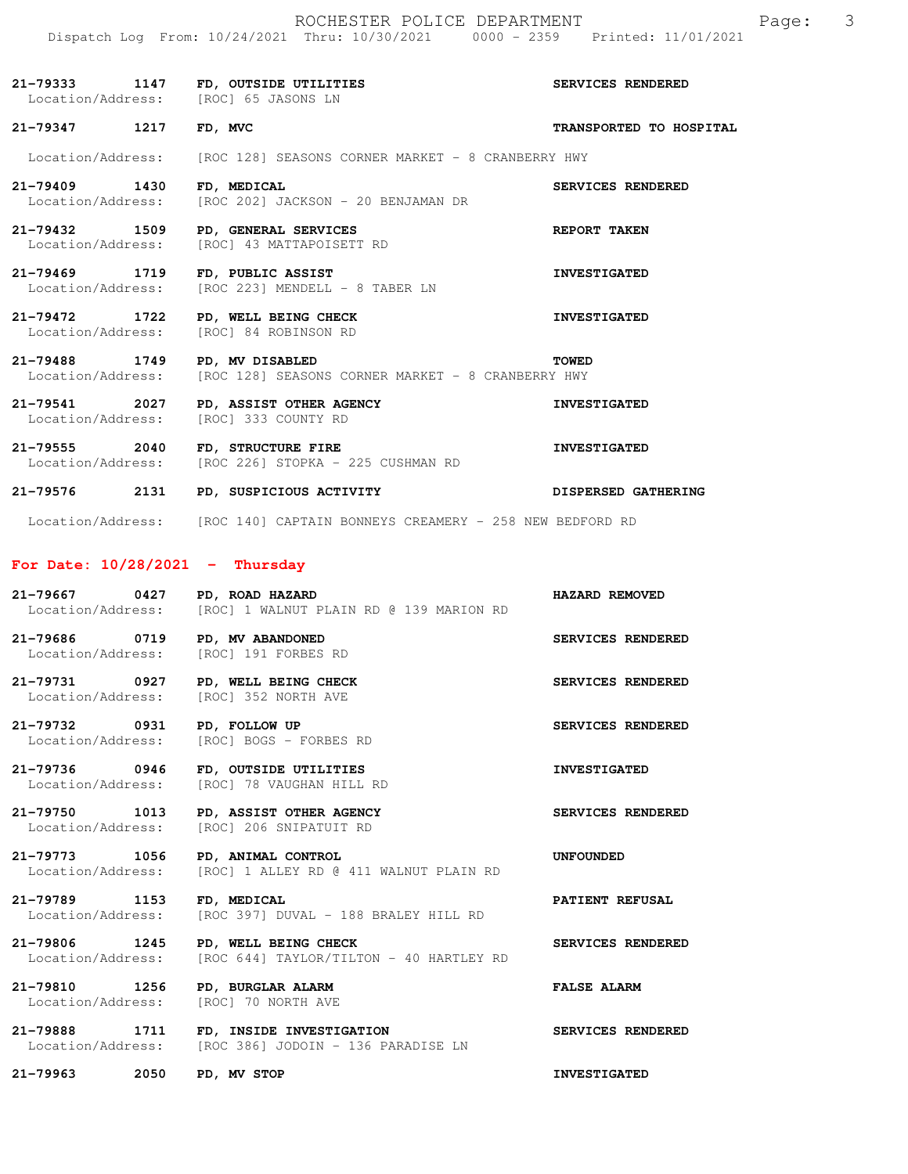|                                       | Dispatch Log From: 10/24/2021 Thru: 10/30/2021 0000 - 2359 Printed: 11/01/2021          |                            |
|---------------------------------------|-----------------------------------------------------------------------------------------|----------------------------|
|                                       | 21-79333 1147 FD, OUTSIDE UTILITIES<br>Location/Address: [ROC] 65 JASONS LN             | SERVICES RENDERED          |
| 21-79347 1217 FD, MVC                 |                                                                                         | TRANSPORTED TO HOSPITAL    |
|                                       | Location/Address: [ROC 128] SEASONS CORNER MARKET - 8 CRANBERRY HWY                     |                            |
| 21-79409 1430<br>Location/Address:    | FD, MEDICAL<br>[ROC 202] JACKSON - 20 BENJAMAN DR                                       | SERVICES RENDERED          |
| 21-79432 1509                         | PD, GENERAL SERVICES<br>Location/Address: [ROC] 43 MATTAPOISETT RD                      | <b>REPORT TAKEN</b>        |
|                                       | 21-79469 1719 FD, PUBLIC ASSIST<br>Location/Address: [ROC 223] MENDELL - 8 TABER LN     | <b>INVESTIGATED</b>        |
| 21-79472 1722                         | PD, WELL BEING CHECK<br>Location/Address: [ROC] 84 ROBINSON RD                          | <b>INVESTIGATED</b>        |
| 21-79488 1749                         | PD, MV DISABLED<br>Location/Address: [ROC 128] SEASONS CORNER MARKET - 8 CRANBERRY HWY  | <b>TOWED</b>               |
|                                       | 21-79541 2027 PD, ASSIST OTHER AGENCY<br>Location/Address: [ROC] 333 COUNTY RD          | <b>INVESTIGATED</b>        |
|                                       | 21-79555 2040 FD, STRUCTURE FIRE<br>Location/Address: [ROC 226] STOPKA - 225 CUSHMAN RD | <b>INVESTIGATED</b>        |
| 21-79576 2131                         | PD, SUSPICIOUS ACTIVITY                                                                 | <b>DISPERSED GATHERING</b> |
|                                       | Location/Address: [ROC 140] CAPTAIN BONNEYS CREAMERY - 258 NEW BEDFORD RD               |                            |
| For Date: $10/28/2021$ - Thursday     |                                                                                         |                            |
| 21-79667                              | 0427 PD, ROAD HAZARD<br>Location/Address: [ROC] 1 WALNUT PLAIN RD @ 139 MARION RD       | HAZARD REMOVED             |
| 21-79686 0719 PD, MV ABANDONED        | Location/Address: [ROC] 191 FORBES RD                                                   | SERVICES RENDERED          |
| 21-79731 0927<br>Location/Address:    | PD, WELL BEING CHECK<br>[ROC] 352 NORTH AVE                                             | SERVICES RENDERED          |
| 21-79732<br>0931<br>Location/Address: | PD, FOLLOW UP<br>[ROC] BOGS - FORBES RD                                                 | SERVICES RENDERED          |
| 21-79736 0946<br>Location/Address:    | FD, OUTSIDE UTILITIES<br>[ROC] 78 VAUGHAN HILL RD                                       | <b>INVESTIGATED</b>        |
| 21-79750<br>1013<br>Location/Address: | PD, ASSIST OTHER AGENCY<br>[ROC] 206 SNIPATUIT RD                                       | SERVICES RENDERED          |

**21-79773 1056 PD, ANIMAL CONTROL CONTROL CONTROL UNFOUNDED** Location/Address: [ROC] 1 ALLEY RD @ 411 WALNUT PLAIN RD [ROC] 1 ALLEY RD @ 411 WALNUT PLAIN RD

**21-79789 1153 FD, MEDICAL PATIENT REFUSAL**  Location/Address: [ROC 397] DUVAL - 188 BRALEY HILL RD

**21-79806 1245 PD, WELL BEING CHECK SERVICES RENDERED**  Location/Address: [ROC 644] TAYLOR/TILTON - 40 HARTLEY RD

**21-79810 1256 PD, BURGLAR ALARM FALSE ALARM**  [ROC] 70 NORTH AVE

**21-79888 1711 FD, INSIDE INVESTIGATION SERVICES RENDERED**  [ROC 386] JODOIN - 136 PARADISE LN

**21-79963 2050 PD, MV STOP INVESTIGATED**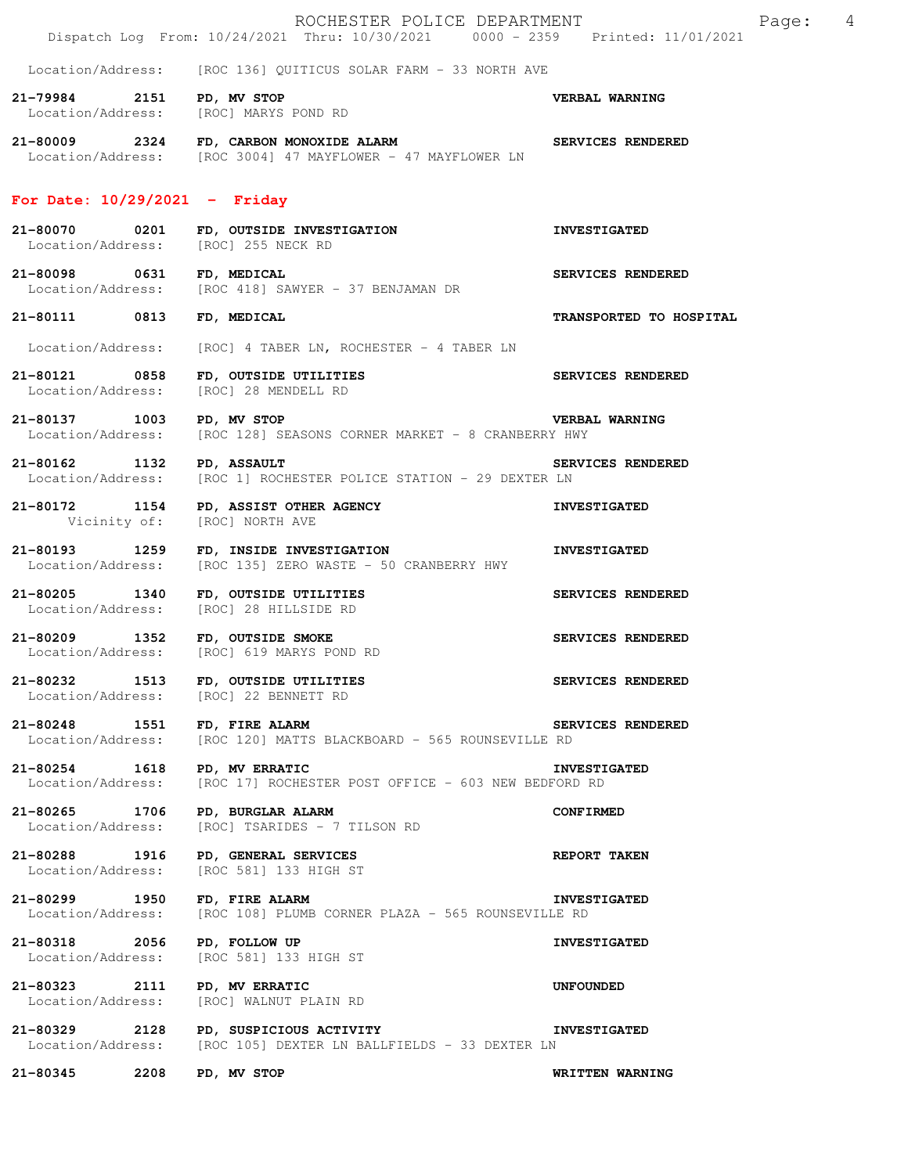|                                                   |      | ROCHESTER POLICE DEPARTMENT<br>Dispatch Log From: 10/24/2021 Thru: 10/30/2021 0000 - 2359 Printed: 11/01/2021            | $\overline{4}$<br>Page: |
|---------------------------------------------------|------|--------------------------------------------------------------------------------------------------------------------------|-------------------------|
|                                                   |      | Location/Address: [ROC 136] QUITICUS SOLAR FARM - 33 NORTH AVE                                                           |                         |
| 21-79984 2151 PD, MV STOP                         |      | Location/Address: [ROC] MARYS POND RD                                                                                    | VERBAL WARNING          |
|                                                   |      | 21-80009 2324 FD, CARBON MONOXIDE ALARM SERVICES RENDERED<br>Location/Address: [ROC 3004] 47 MAYFLOWER - 47 MAYFLOWER LN |                         |
| For Date: $10/29/2021$ - Friday                   |      |                                                                                                                          |                         |
|                                                   |      | 21-80070 0201 FD, OUTSIDE INVESTIGATION<br>Location/Address: [ROC] 255 NECK RD                                           | <b>INVESTIGATED</b>     |
| 21-80098 0631 FD, MEDICAL                         |      | Location/Address: [ROC 418] SAWYER - 37 BENJAMAN DR                                                                      | SERVICES RENDERED       |
| 21-80111 0813                                     |      | FD, MEDICAL                                                                                                              | TRANSPORTED TO HOSPITAL |
|                                                   |      | Location/Address: [ROC] 4 TABER LN, ROCHESTER - 4 TABER LN                                                               |                         |
|                                                   |      | 21-80121 0858 FD, OUTSIDE UTILITIES<br>Location/Address: [ROC] 28 MENDELL RD                                             | SERVICES RENDERED       |
| 21-80137 1003 PD, MV STOP                         |      | <b>VERBAL WARNING</b><br>Location/Address: [ROC 128] SEASONS CORNER MARKET - 8 CRANBERRY HWY                             |                         |
| 21-80162 1132 PD, ASSAULT                         |      | Location/Address: [ROC 1] ROCHESTER POLICE STATION - 29 DEXTER LN                                                        | SERVICES RENDERED       |
|                                                   |      | 21-80172 1154 PD, ASSIST OTHER AGENCY<br>Vicinity of: [ROC] NORTH AVE                                                    | <b>INVESTIGATED</b>     |
| Location/Address:                                 |      | 21-80193 1259 FD, INSIDE INVESTIGATION<br>[ROC 135] ZERO WASTE - 50 CRANBERRY HWY                                        | <b>INVESTIGATED</b>     |
|                                                   |      | 21-80205 1340 FD, OUTSIDE UTILITIES<br>Location/Address: [ROC] 28 HILLSIDE RD                                            | SERVICES RENDERED       |
|                                                   |      | 21-80209 1352 FD, OUTSIDE SMOKE<br>Location/Address: [ROC] 619 MARYS POND RD                                             | SERVICES RENDERED       |
|                                                   |      | 21-80232 1513 FD, OUTSIDE UTILITIES<br>Location/Address: [ROC] 22 BENNETT RD                                             | SERVICES RENDERED       |
| 21-80248 1551 FD, FIRE ALARM                      |      | Location/Address: [ROC 120] MATTS BLACKBOARD - 565 ROUNSEVILLE RD                                                        | SERVICES RENDERED       |
|                                                   |      | 21-80254 1618 PD, MV ERRATIC<br>Location/Address: [ROC 17] ROCHESTER POST OFFICE - 603 NEW BEDFORD RD                    | <b>INVESTIGATED</b>     |
|                                                   |      | 21-80265 1706 PD, BURGLAR ALARM<br>Location/Address: [ROC] TSARIDES - 7 TILSON RD                                        | <b>CONFIRMED</b>        |
|                                                   |      | 21-80288 1916 PD, GENERAL SERVICES<br>Location/Address: [ROC 581] 133 HIGH ST                                            | <b>REPORT TAKEN</b>     |
| 21-80299 1950 FD, FIRE ALARM<br>Location/Address: |      | [ROC 108] PLUMB CORNER PLAZA - 565 ROUNSEVILLE RD                                                                        | <b>INVESTIGATED</b>     |
| 21-80318 2056 PD, FOLLOW UP                       |      | Location/Address: [ROC 581] 133 HIGH ST                                                                                  | <b>INVESTIGATED</b>     |
| Location/Address:                                 |      | 21-80323 2111 PD, MV ERRATIC<br>[ROC] WALNUT PLAIN RD                                                                    | UNFOUNDED               |
|                                                   |      | 21-80329 2128 PD, SUSPICIOUS ACTIVITY<br>Location/Address: [ROC 105] DEXTER LN BALLFIELDS - 33 DEXTER LN                 | <b>INVESTIGATED</b>     |
| 21-80345                                          | 2208 | PD, MV STOP                                                                                                              | WRITTEN WARNING         |